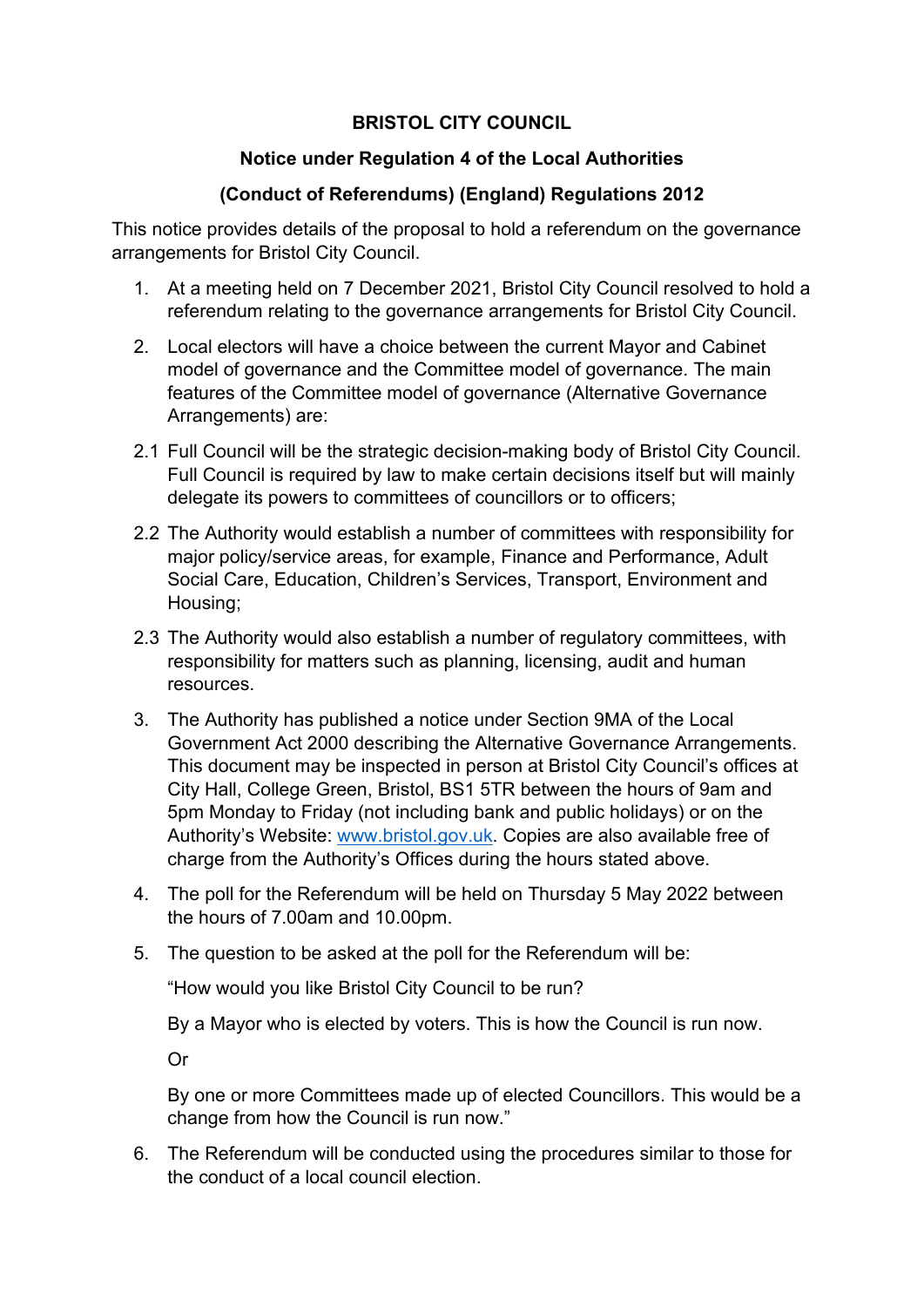## **BRISTOL CITY COUNCIL**

## **Notice under Regulation 4 of the Local Authorities**

## **(Conduct of Referendums) (England) Regulations 2012**

This notice provides details of the proposal to hold a referendum on the governance arrangements for Bristol City Council.

- 1. At a meeting held on 7 December 2021, Bristol City Council resolved to hold a referendum relating to the governance arrangements for Bristol City Council.
- 2. Local electors will have a choice between the current Mayor and Cabinet model of governance and the Committee model of governance. The main features of the Committee model of governance (Alternative Governance Arrangements) are:
- 2.1 Full Council will be the strategic decision-making body of Bristol City Council. Full Council is required by law to make certain decisions itself but will mainly delegate its powers to committees of councillors or to officers;
- 2.2 The Authority would establish a number of committees with responsibility for major policy/service areas, for example, Finance and Performance, Adult Social Care, Education, Children's Services, Transport, Environment and Housing;
- 2.3 The Authority would also establish a number of regulatory committees, with responsibility for matters such as planning, licensing, audit and human resources.
- 3. The Authority has published a notice under Section 9MA of the Local Government Act 2000 describing the Alternative Governance Arrangements. This document may be inspected in person at Bristol City Council's offices at City Hall, College Green, Bristol, BS1 5TR between the hours of 9am and 5pm Monday to Friday (not including bank and public holidays) or on the Authority's Website: [www.bristol.gov.uk.](http://www.bristol.gov.uk/) Copies are also available free of charge from the Authority's Offices during the hours stated above.
- 4. The poll for the Referendum will be held on Thursday 5 May 2022 between the hours of 7.00am and 10.00pm.
- 5. The question to be asked at the poll for the Referendum will be:

"How would you like Bristol City Council to be run?

By a Mayor who is elected by voters. This is how the Council is run now.

Or

By one or more Committees made up of elected Councillors. This would be a change from how the Council is run now."

6. The Referendum will be conducted using the procedures similar to those for the conduct of a local council election.